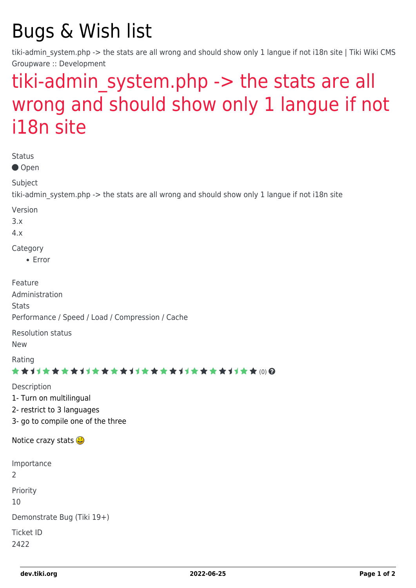## Bugs & Wish list

tiki-admin system.php -> the stats are all wrong and should show only 1 langue if not i18n site | Tiki Wiki CMS Groupware :: Development

## tiki-admin system.php -> the stats are all [wrong and should show only 1 langue if not](https://dev.tiki.org/item2422-tiki-admin_system-php-the-stats-are-all-wrong-and-should-show-only-1-langue-if-not-i18n-site) [i18n site](https://dev.tiki.org/item2422-tiki-admin_system-php-the-stats-are-all-wrong-and-should-show-only-1-langue-if-not-i18n-site)

| <b>Status</b><br>● Open                                                                                    |
|------------------------------------------------------------------------------------------------------------|
| Subject<br>tiki-admin_system.php -> the stats are all wrong and should show only 1 langue if not i18n site |
| Version<br>3.x<br>4.x                                                                                      |
| Category<br>• Error                                                                                        |
| Feature<br>Administration<br><b>Stats</b><br>Performance / Speed / Load / Compression / Cache              |
| <b>Resolution status</b><br><b>New</b>                                                                     |
| Rating<br>★★オオ★★★★オオ★★★★1オ★★★★1オ★★★★1オ★★(0)@                                                               |
| Description<br>1- Turn on multilingual<br>2- restrict to 3 languages<br>3- go to compile one of the three  |
| Notice crazy stats $\bigcirc$                                                                              |
| Importance<br>$\overline{2}$                                                                               |
| Priority<br>10                                                                                             |
| Demonstrate Bug (Tiki 19+)<br><b>Ticket ID</b><br>2422                                                     |
|                                                                                                            |